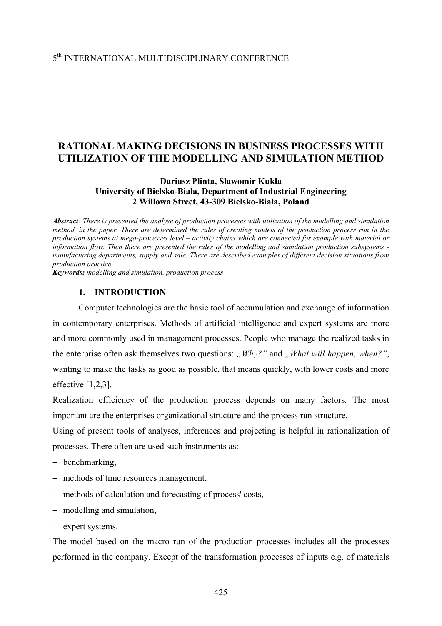## 5th INTERNATIONAL MULTIDISCIPLINARY CONFERENCE

## **RATIONAL MAKING DECISIONS IN BUSINESS PROCESSES WITH UTILIZATION OF THE MODELLING AND SIMULATION METHOD**

## **Dariusz Plinta, Sławomir Kukla University of Bielsko-Biała, Department of Industrial Engineering 2 Willowa Street, 43-309 Bielsko-Biała, Poland**

*Abstract: There is presented the analyse of production processes with utilization of the modelling and simulation method, in the paper. There are determined the rules of creating models of the production process run in the production systems at mega-processes level – activity chains which are connected for example with material or information flow. Then there are presented the rules of the modelling and simulation production subsystems manufacturing departments, supply and sale. There are described examples of different decision situations from production practice.* 

*Keywords: modelling and simulation, production process* 

## **1. INTRODUCTION**

Computer technologies are the basic tool of accumulation and exchange of information in contemporary enterprises. Methods of artificial intelligence and expert systems are more and more commonly used in management processes. People who manage the realized tasks in the enterprise often ask themselves two questions: *"Why?*" and *"What will happen, when?"*, wanting to make the tasks as good as possible, that means quickly, with lower costs and more effective  $[1,2,3]$ .

Realization efficiency of the production process depends on many factors. The most important are the enterprises organizational structure and the process run structure.

Using of present tools of analyses, inferences and projecting is helpful in rationalization of processes. There often are used such instruments as:

- − benchmarking,
- − methods of time resources management,
- − methods of calculation and forecasting of process' costs,
- − modelling and simulation,
- − expert systems.

The model based on the macro run of the production processes includes all the processes performed in the company. Except of the transformation processes of inputs e.g. of materials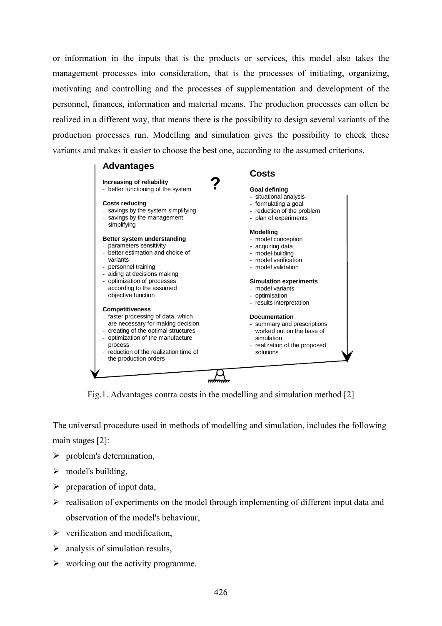or information in the inputs that is the products or services, this model also takes the management processes into consideration, that is the processes of initiating, organizing, motivating and controlling and the processes of supplementation and development of the personnel, finances, information and material means. The production processes can often be realized in a different way, that means there is the possibility to design several variants of the production processes run. Modelling and simulation gives the possibility to check these variants and makes it easier to choose the best one, according to the assumed criterions.



Fig.1. Advantages contra costs in the modelling and simulation method [2]

The universal procedure used in methods of modelling and simulation, includes the following main stages [2]:

- $\triangleright$  problem's determination,
- $\triangleright$  model's building,
- $\triangleright$  preparation of input data,
- $\triangleright$  realisation of experiments on the model through implementing of different input data and observation of the model's behaviour,
- $\triangleright$  verification and modification.
- $\triangleright$  analysis of simulation results,
- $\triangleright$  working out the activity programme.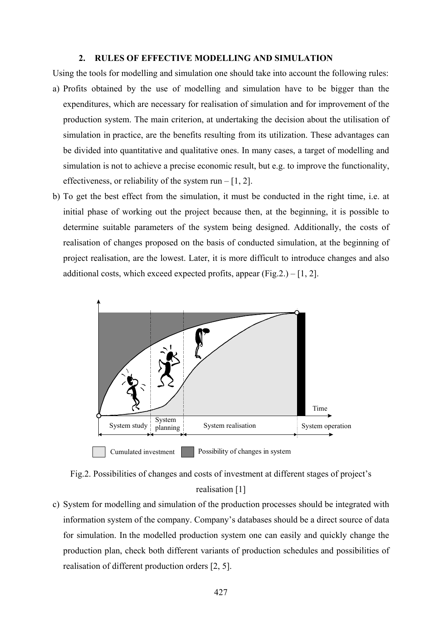#### **2. RULES OF EFFECTIVE MODELLING AND SIMULATION**

- Using the tools for modelling and simulation one should take into account the following rules: a) Profits obtained by the use of modelling and simulation have to be bigger than the expenditures, which are necessary for realisation of simulation and for improvement of the production system. The main criterion, at undertaking the decision about the utilisation of simulation in practice, are the benefits resulting from its utilization. These advantages can be divided into quantitative and qualitative ones. In many cases, a target of modelling and simulation is not to achieve a precise economic result, but e.g. to improve the functionality, effectiveness, or reliability of the system run  $-[1, 2]$ .
- b) To get the best effect from the simulation, it must be conducted in the right time, i.e. at initial phase of working out the project because then, at the beginning, it is possible to determine suitable parameters of the system being designed. Additionally, the costs of realisation of changes proposed on the basis of conducted simulation, at the beginning of project realisation, are the lowest. Later, it is more difficult to introduce changes and also additional costs, which exceed expected profits, appear  $(Fig.2.) - [1, 2]$ .



Fig.2. Possibilities of changes and costs of investment at different stages of project's realisation [1]

c) System for modelling and simulation of the production processes should be integrated with information system of the company. Company's databases should be a direct source of data for simulation. In the modelled production system one can easily and quickly change the production plan, check both different variants of production schedules and possibilities of realisation of different production orders [2, 5].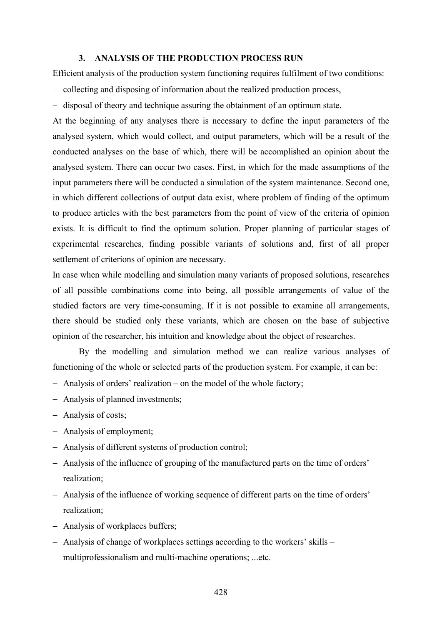## **3. ANALYSIS OF THE PRODUCTION PROCESS RUN**

Efficient analysis of the production system functioning requires fulfilment of two conditions:

- − collecting and disposing of information about the realized production process,
- − disposal of theory and technique assuring the obtainment of an optimum state.

At the beginning of any analyses there is necessary to define the input parameters of the analysed system, which would collect, and output parameters, which will be a result of the conducted analyses on the base of which, there will be accomplished an opinion about the analysed system. There can occur two cases. First, in which for the made assumptions of the input parameters there will be conducted a simulation of the system maintenance. Second one, in which different collections of output data exist, where problem of finding of the optimum to produce articles with the best parameters from the point of view of the criteria of opinion exists. It is difficult to find the optimum solution. Proper planning of particular stages of experimental researches, finding possible variants of solutions and, first of all proper settlement of criterions of opinion are necessary.

In case when while modelling and simulation many variants of proposed solutions, researches of all possible combinations come into being, all possible arrangements of value of the studied factors are very time-consuming. If it is not possible to examine all arrangements, there should be studied only these variants, which are chosen on the base of subjective opinion of the researcher, his intuition and knowledge about the object of researches.

By the modelling and simulation method we can realize various analyses of functioning of the whole or selected parts of the production system. For example, it can be:

- − Analysis of orders' realization on the model of the whole factory;
- − Analysis of planned investments;
- − Analysis of costs;
- − Analysis of employment;
- − Analysis of different systems of production control;
- − Analysis of the influence of grouping of the manufactured parts on the time of orders' realization;
- − Analysis of the influence of working sequence of different parts on the time of orders' realization;
- − Analysis of workplaces buffers;
- − Analysis of change of workplaces settings according to the workers' skills multiprofessionalism and multi-machine operations; ...etc.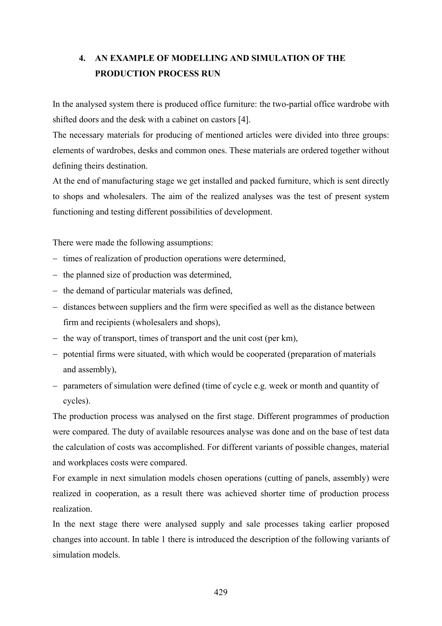# **4. AN EXAMPLE OF MODELLING AND SIMULATION OF THE PRODUCTION PROCESS RUN**

In the analysed system there is produced office furniture: the two-partial office wardrobe with shifted doors and the desk with a cabinet on castors [4].

The necessary materials for producing of mentioned articles were divided into three groups: elements of wardrobes, desks and common ones. These materials are ordered together without defining theirs destination.

At the end of manufacturing stage we get installed and packed furniture, which is sent directly to shops and wholesalers. The aim of the realized analyses was the test of present system functioning and testing different possibilities of development.

There were made the following assumptions:

- − times of realization of production operations were determined,
- − the planned size of production was determined,
- − the demand of particular materials was defined,
- − distances between suppliers and the firm were specified as well as the distance between firm and recipients (wholesalers and shops),
- − the way of transport, times of transport and the unit cost (per km),
- − potential firms were situated, with which would be cooperated (preparation of materials and assembly),
- − parameters of simulation were defined (time of cycle e.g. week or month and quantity of cycles).

The production process was analysed on the first stage. Different programmes of production were compared. The duty of available resources analyse was done and on the base of test data the calculation of costs was accomplished. For different variants of possible changes, material and workplaces costs were compared.

For example in next simulation models chosen operations (cutting of panels, assembly) were realized in cooperation, as a result there was achieved shorter time of production process realization.

In the next stage there were analysed supply and sale processes taking earlier proposed changes into account. In table 1 there is introduced the description of the following variants of simulation models.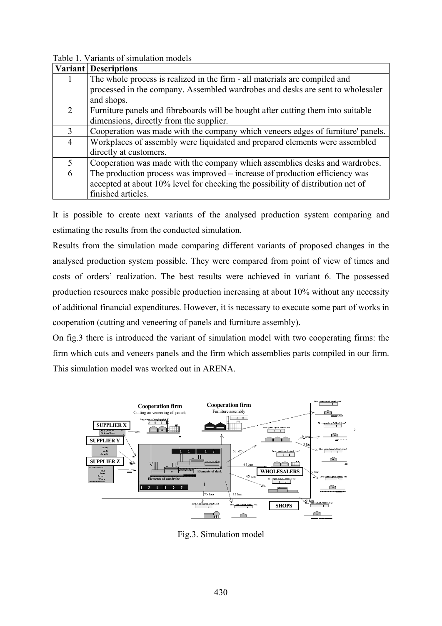|                | <b>Variant Descriptions</b>                                                      |
|----------------|----------------------------------------------------------------------------------|
|                | The whole process is realized in the firm - all materials are compiled and       |
|                | processed in the company. Assembled wardrobes and desks are sent to wholesaler   |
|                | and shops.                                                                       |
| $\overline{2}$ | Furniture panels and fibreboards will be bought after cutting them into suitable |
|                | dimensions, directly from the supplier.                                          |
| $\mathcal{F}$  | Cooperation was made with the company which veneers edges of furniture' panels.  |
| $\overline{4}$ | Workplaces of assembly were liquidated and prepared elements were assembled      |
|                | directly at customers.                                                           |
| 5              | Cooperation was made with the company which assemblies desks and wardrobes.      |
| 6              | The production process was improved – increase of production efficiency was      |
|                | accepted at about 10% level for checking the possibility of distribution net of  |
|                | finished articles.                                                               |

Table 1. Variants of simulation models

It is possible to create next variants of the analysed production system comparing and estimating the results from the conducted simulation.

Results from the simulation made comparing different variants of proposed changes in the analysed production system possible. They were compared from point of view of times and costs of orders' realization. The best results were achieved in variant 6. The possessed production resources make possible production increasing at about 10% without any necessity of additional financial expenditures. However, it is necessary to execute some part of works in cooperation (cutting and veneering of panels and furniture assembly).

On fig.3 there is introduced the variant of simulation model with two cooperating firms: the firm which cuts and veneers panels and the firm which assemblies parts compiled in our firm. This simulation model was worked out in ARENA.



Fig.3. Simulation model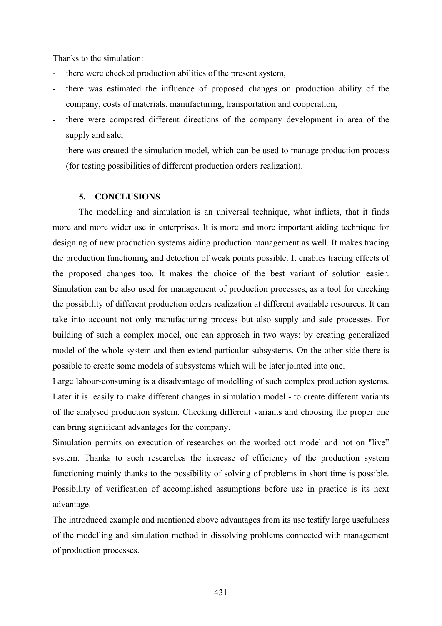Thanks to the simulation:

- there were checked production abilities of the present system,
- there was estimated the influence of proposed changes on production ability of the company, costs of materials, manufacturing, transportation and cooperation,
- there were compared different directions of the company development in area of the supply and sale,
- there was created the simulation model, which can be used to manage production process (for testing possibilities of different production orders realization).

## **5. CONCLUSIONS**

The modelling and simulation is an universal technique, what inflicts, that it finds more and more wider use in enterprises. It is more and more important aiding technique for designing of new production systems aiding production management as well. It makes tracing the production functioning and detection of weak points possible. It enables tracing effects of the proposed changes too. It makes the choice of the best variant of solution easier. Simulation can be also used for management of production processes, as a tool for checking the possibility of different production orders realization at different available resources. It can take into account not only manufacturing process but also supply and sale processes. For building of such a complex model, one can approach in two ways: by creating generalized model of the whole system and then extend particular subsystems. On the other side there is possible to create some models of subsystems which will be later jointed into one.

Large labour-consuming is a disadvantage of modelling of such complex production systems. Later it is easily to make different changes in simulation model - to create different variants of the analysed production system. Checking different variants and choosing the proper one can bring significant advantages for the company.

Simulation permits on execution of researches on the worked out model and not on "live" system. Thanks to such researches the increase of efficiency of the production system functioning mainly thanks to the possibility of solving of problems in short time is possible. Possibility of verification of accomplished assumptions before use in practice is its next advantage.

The introduced example and mentioned above advantages from its use testify large usefulness of the modelling and simulation method in dissolving problems connected with management of production processes.